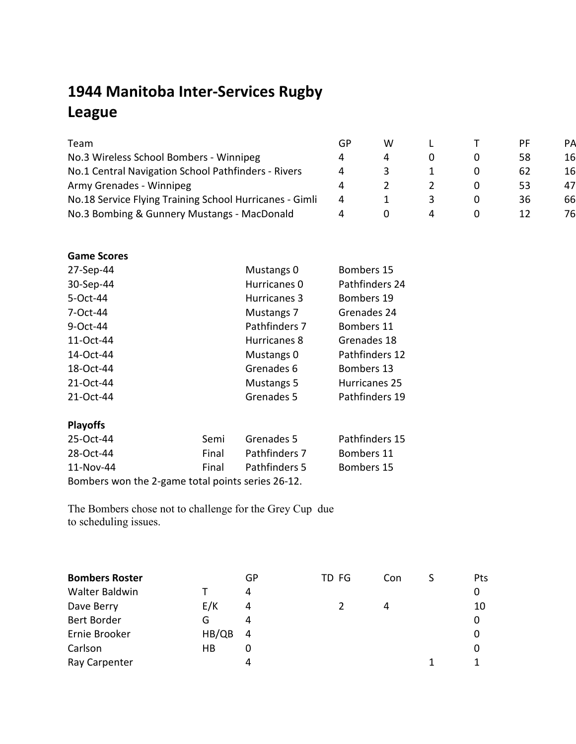## **1944 Manitoba Inter-Services Rugby League**

| Team                                                    | GP | w |  | PF. | PА |
|---------------------------------------------------------|----|---|--|-----|----|
| No.3 Wireless School Bombers - Winnipeg                 | 4  |   |  | 58  | 16 |
| No.1 Central Navigation School Pathfinders - Rivers     | 4  |   |  | 62  | 16 |
| Army Grenades - Winnipeg                                |    |   |  | 53. | 47 |
| No.18 Service Flying Training School Hurricanes - Gimli | 4  |   |  | 36  | 66 |
| No.3 Bombing & Gunnery Mustangs - MacDonald             |    |   |  |     | 76 |

## **Game Scores**

| 27-Sep-44 | Mustangs 0    | Bombers 15     |
|-----------|---------------|----------------|
| 30-Sep-44 | Hurricanes 0  | Pathfinders 24 |
| 5-Oct-44  | Hurricanes 3  | Bombers 19     |
| 7-Oct-44  | Mustangs 7    | Grenades 24    |
| 9-Oct-44  | Pathfinders 7 | Bombers 11     |
| 11-Oct-44 | Hurricanes 8  | Grenades 18    |
| 14-Oct-44 | Mustangs 0    | Pathfinders 12 |
| 18-Oct-44 | Grenades 6    | Bombers 13     |
| 21-Oct-44 | Mustangs 5    | Hurricanes 25  |
| 21-Oct-44 | Grenades 5    | Pathfinders 19 |
|           |               |                |

## **Playoffs**

| 25-Oct-44                                         | Semi  | Grenades 5    | Pathfinders 15 |  |  |  |  |  |
|---------------------------------------------------|-------|---------------|----------------|--|--|--|--|--|
| 28-Oct-44                                         | Final | Pathfinders 7 | Bombers 11     |  |  |  |  |  |
| 11-Nov-44                                         | Final | Pathfinders 5 | Bombers 15     |  |  |  |  |  |
| Bombers won the 2-game total points series 26-12. |       |               |                |  |  |  |  |  |

The Bombers chose not to challenge for the Grey Cup due to scheduling issues.

| <b>Bombers Roster</b> |       | GP | TD FG | Con | Pts |
|-----------------------|-------|----|-------|-----|-----|
| Walter Baldwin        |       | 4  |       |     | 0   |
| Dave Berry            | E/K   | 4  |       | 4   | 10  |
| Bert Border           | G     | 4  |       |     | 0   |
| Ernie Brooker         | HB/QB | 4  |       |     |     |
| Carlson               | HB    | 0  |       |     |     |
| Ray Carpenter         |       | 4  |       |     |     |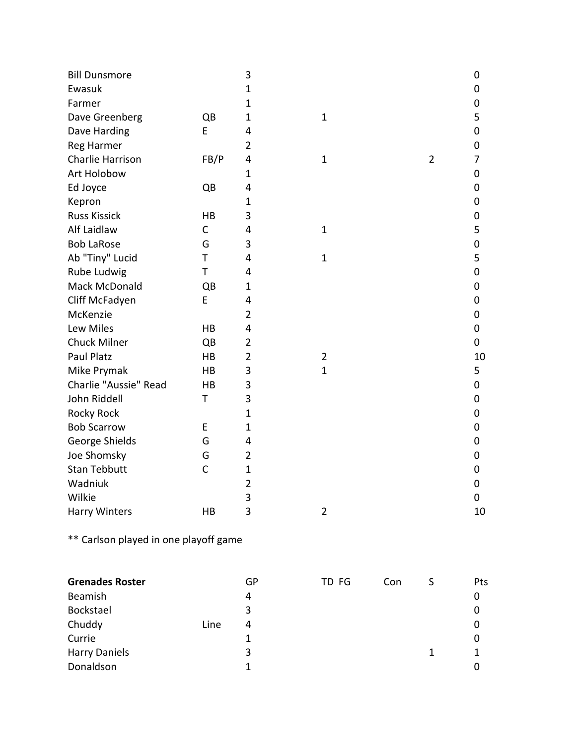| <b>Bill Dunsmore</b>  |              | $\mathbf{3}$   |                |                | 0  |
|-----------------------|--------------|----------------|----------------|----------------|----|
| Ewasuk                |              | $\mathbf{1}$   |                |                | 0  |
| Farmer                |              | $\mathbf{1}$   |                |                | 0  |
| Dave Greenberg        | QB           | $\mathbf{1}$   | $\mathbf{1}$   |                | 5  |
| Dave Harding          | E            | 4              |                |                | 0  |
| <b>Reg Harmer</b>     |              | $\overline{2}$ |                |                | 0  |
| Charlie Harrison      | FB/P         | 4              | $\mathbf{1}$   | $\overline{2}$ | 7  |
| Art Holobow           |              | $\mathbf{1}$   |                |                | 0  |
| Ed Joyce              | QB           | 4              |                |                | 0  |
| Kepron                |              | $\mathbf{1}$   |                |                | 0  |
| <b>Russ Kissick</b>   | HB           | 3              |                |                | 0  |
| Alf Laidlaw           | $\mathsf C$  | 4              | $\mathbf{1}$   |                | 5  |
| <b>Bob LaRose</b>     | G            | 3              |                |                | 0  |
| Ab "Tiny" Lucid       | T            | 4              | $\mathbf{1}$   |                | 5  |
| Rube Ludwig           | T            | 4              |                |                | 0  |
| Mack McDonald         | QB           | $\mathbf{1}$   |                |                | 0  |
| Cliff McFadyen        | E            | 4              |                |                | 0  |
| McKenzie              |              | $\overline{2}$ |                |                | 0  |
| Lew Miles             | HB           | 4              |                |                | 0  |
| <b>Chuck Milner</b>   | QB           | $\overline{2}$ |                |                | 0  |
| Paul Platz            | HB           | $\overline{2}$ | $\overline{2}$ |                | 10 |
| Mike Prymak           | HB           | 3              | $\mathbf{1}$   |                | 5  |
| Charlie "Aussie" Read | HB           | 3              |                |                | 0  |
| John Riddell          | T            | 3              |                |                | 0  |
| <b>Rocky Rock</b>     |              | $\mathbf{1}$   |                |                | 0  |
| <b>Bob Scarrow</b>    | E            | $\mathbf{1}$   |                |                | 0  |
| George Shields        | G            | 4              |                |                | 0  |
| Joe Shomsky           | G            | $\overline{2}$ |                |                | 0  |
| <b>Stan Tebbutt</b>   | $\mathsf{C}$ | $\mathbf{1}$   |                |                | 0  |
| Wadniuk               |              | $\overline{2}$ |                |                | 0  |
| Wilkie                |              | 3              |                |                | 0  |
| <b>Harry Winters</b>  | HB           | 3              | $\overline{2}$ |                | 10 |

\*\* Carlson played in one playoff game

| <b>Grenades Roster</b> |      | GР | TD FG | Con | Pts |
|------------------------|------|----|-------|-----|-----|
| Beamish                |      | 4  |       |     | 0   |
| Bockstael              |      | 3  |       |     | 0   |
| Chuddy                 | Line | 4  |       |     | 0   |
| Currie                 |      |    |       |     | 0   |
| <b>Harry Daniels</b>   |      | 3  |       |     |     |
| Donaldson              |      |    |       |     |     |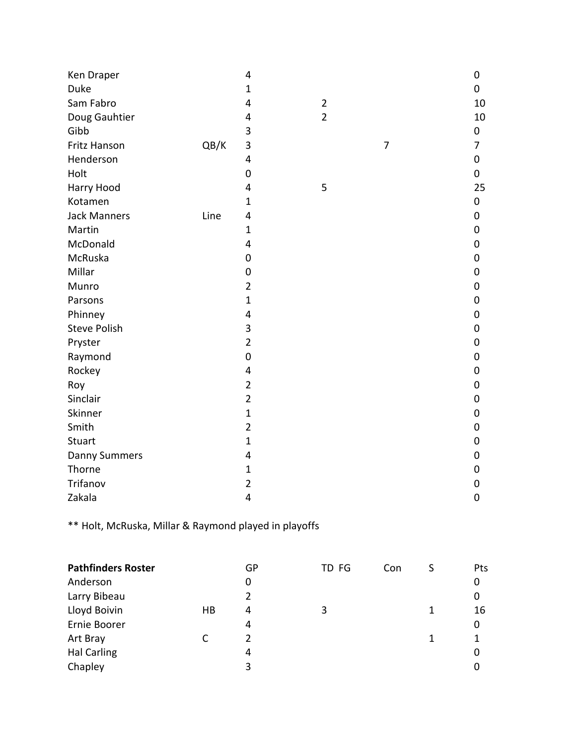| Ken Draper           |      | 4                       |                |                | 0  |
|----------------------|------|-------------------------|----------------|----------------|----|
| Duke                 |      | $\mathbf{1}$            |                |                | 0  |
| Sam Fabro            |      | 4                       | $\overline{2}$ |                | 10 |
| Doug Gauhtier        |      | 4                       | $\overline{2}$ |                | 10 |
| Gibb                 |      | 3                       |                |                | 0  |
| Fritz Hanson         | QB/K | 3                       |                | $\overline{7}$ | 7  |
| Henderson            |      | 4                       |                |                | 0  |
| Holt                 |      | $\mathbf 0$             |                |                | 0  |
| Harry Hood           |      | 4                       | 5              |                | 25 |
| Kotamen              |      | $\mathbf{1}$            |                |                | 0  |
| <b>Jack Manners</b>  | Line | 4                       |                |                | 0  |
| Martin               |      | $\mathbf{1}$            |                |                | 0  |
| McDonald             |      | 4                       |                |                | 0  |
| McRuska              |      | $\mathbf 0$             |                |                | 0  |
| Millar               |      | 0                       |                |                | 0  |
| Munro                |      | $\overline{2}$          |                |                | 0  |
| Parsons              |      | $\mathbf{1}$            |                |                | 0  |
| Phinney              |      | 4                       |                |                | 0  |
| <b>Steve Polish</b>  |      | 3                       |                |                | 0  |
| Pryster              |      | $\overline{2}$          |                |                | 0  |
| Raymond              |      | $\mathbf 0$             |                |                | 0  |
| Rockey               |      | 4                       |                |                | 0  |
| Roy                  |      | $\overline{2}$          |                |                | 0  |
| Sinclair             |      | $\overline{2}$          |                |                | 0  |
| Skinner              |      | $\mathbf{1}$            |                |                | 0  |
| Smith                |      | $\overline{2}$          |                |                | 0  |
| Stuart               |      | $\mathbf{1}$            |                |                | 0  |
| <b>Danny Summers</b> |      | 4                       |                |                | 0  |
| Thorne               |      | $\mathbf{1}$            |                |                | 0  |
| Trifanov             |      | $\overline{\mathbf{c}}$ |                |                | 0  |
| Zakala               |      | 4                       |                |                | 0  |

\*\* Holt, McRuska, Millar & Raymond played in playoffs

| <b>Pathfinders Roster</b> |    | GP | TD FG | Con |   | Pts |
|---------------------------|----|----|-------|-----|---|-----|
| Anderson                  |    | 0  |       |     |   | 0   |
| Larry Bibeau              |    | 2  |       |     |   | 0   |
| Lloyd Boivin              | HB | 4  | 3     |     | 1 | 16  |
| Ernie Boorer              |    | 4  |       |     |   | 0   |
| Art Bray                  |    | 2  |       |     | 1 | 1   |
| <b>Hal Carling</b>        |    | 4  |       |     |   | 0   |
| Chapley                   |    | 3  |       |     |   | 0   |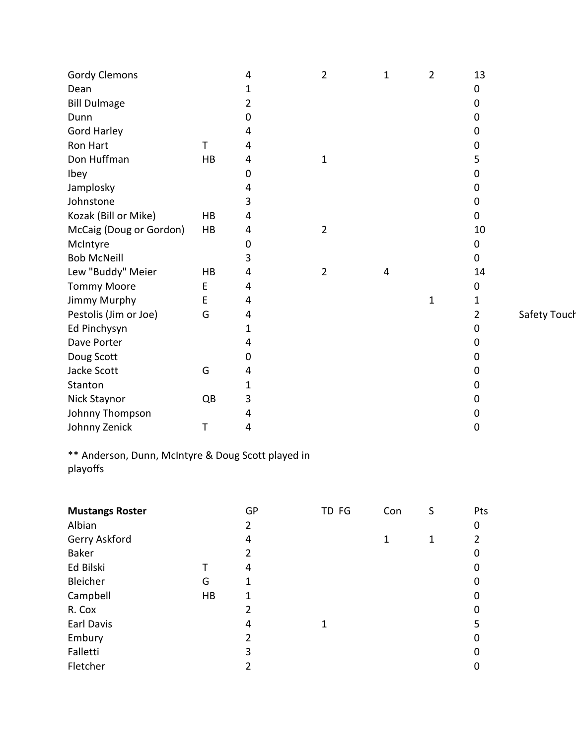| <b>Gordy Clemons</b>    |    | 4              | 2              | 1 | 2            | 13        |              |
|-------------------------|----|----------------|----------------|---|--------------|-----------|--------------|
| Dean                    |    | 1              |                |   |              | 0         |              |
| <b>Bill Dulmage</b>     |    | 2              |                |   |              | 0         |              |
| Dunn                    |    | 0              |                |   |              | 0         |              |
| <b>Gord Harley</b>      |    | 4              |                |   |              | 0         |              |
| Ron Hart                | T  | 4              |                |   |              | 0         |              |
| Don Huffman             | HB | 4              | 1              |   |              | 5         |              |
| Ibey                    |    | 0              |                |   |              | 0         |              |
| Jamplosky               |    | 4              |                |   |              | 0         |              |
| Johnstone               |    | 3              |                |   |              | 0         |              |
| Kozak (Bill or Mike)    | HB | 4              |                |   |              | 0         |              |
| McCaig (Doug or Gordon) | HB | 4              | $\overline{2}$ |   |              | 10        |              |
| McIntyre                |    | 0              |                |   |              | 0         |              |
| <b>Bob McNeill</b>      |    | 3              |                |   |              | $\pmb{0}$ |              |
| Lew "Buddy" Meier       | HB | 4              | $\overline{2}$ | 4 |              | 14        |              |
| <b>Tommy Moore</b>      | E  | 4              |                |   |              | 0         |              |
| <b>Jimmy Murphy</b>     | E  | 4              |                |   | $\mathbf{1}$ | 1         |              |
| Pestolis (Jim or Joe)   | G  | 4              |                |   |              | 2         | Safety Touch |
| Ed Pinchysyn            |    | 1              |                |   |              | 0         |              |
| Dave Porter             |    | 4              |                |   |              | 0         |              |
| Doug Scott              |    | 0              |                |   |              | 0         |              |
| Jacke Scott             | G  | 4              |                |   |              | 0         |              |
| Stanton                 |    | 1              |                |   |              | 0         |              |
| Nick Staynor            | QB | 3              |                |   |              | 0         |              |
| Johnny Thompson         |    | 4              |                |   |              | 0         |              |
| Johnny Zenick           | Т  | $\overline{4}$ |                |   |              | 0         |              |

\*\* Anderson, Dunn, McIntyre & Doug Scott played in playoffs

| <b>Mustangs Roster</b> |    | GP             | TD FG | Con | S | Pts         |
|------------------------|----|----------------|-------|-----|---|-------------|
| Albian                 |    | 2              |       |     |   | $\mathbf 0$ |
| Gerry Askford          |    | 4              |       | 1   | 1 | 2           |
| <b>Baker</b>           |    | 2              |       |     |   | 0           |
| Ed Bilski              |    | 4              |       |     |   | 0           |
| Bleicher               | G  | 1              |       |     |   | 0           |
| Campbell               | HB | 1              |       |     |   | 0           |
| R. Cox                 |    | 2              |       |     |   | 0           |
| Earl Davis             |    | 4              |       |     |   | 5           |
| Embury                 |    | $\overline{2}$ |       |     |   | $\mathbf 0$ |
| Falletti               |    | 3              |       |     |   | 0           |
| Fletcher               |    | 2              |       |     |   | 0           |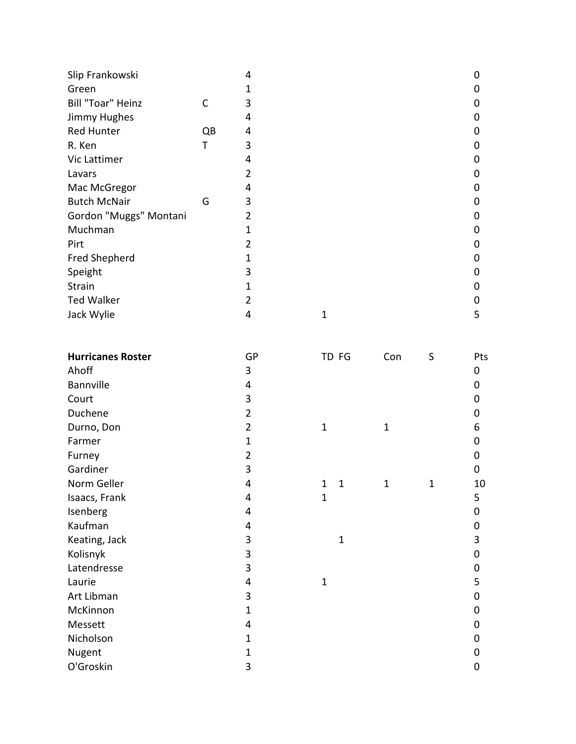| Slip Frankowski        |    | 4 |   | 0 |
|------------------------|----|---|---|---|
| Green                  |    | 1 |   | 0 |
| Bill "Toar" Heinz      | С  | 3 |   | 0 |
| Jimmy Hughes           |    | 4 |   | 0 |
| <b>Red Hunter</b>      | QB | 4 |   | 0 |
| R. Ken                 | т  | 3 |   | 0 |
| Vic Lattimer           |    | 4 |   | 0 |
| Lavars                 |    | 2 |   | 0 |
| Mac McGregor           |    | 4 |   | 0 |
| <b>Butch McNair</b>    | G  | 3 |   | 0 |
| Gordon "Muggs" Montani |    | 2 |   | 0 |
| Muchman                |    | 1 |   | 0 |
| Pirt                   |    | 2 |   | 0 |
| Fred Shepherd          |    | 1 |   | 0 |
| Speight                |    | 3 |   | 0 |
| Strain                 |    | 1 |   | 0 |
| <b>Ted Walker</b>      |    | 2 |   | 0 |
| Jack Wylie             |    | 4 | 1 | 5 |
|                        |    |   |   |   |

| <b>Hurricanes Roster</b> | GP             | TD FG             | Con          | S            | Pts |
|--------------------------|----------------|-------------------|--------------|--------------|-----|
| Ahoff                    | 3              |                   |              |              | 0   |
| Bannville                | 4              |                   |              |              | 0   |
| Court                    | 3              |                   |              |              | 0   |
| Duchene                  | $\overline{2}$ |                   |              |              | 0   |
| Durno, Don               | $\overline{2}$ | $\mathbf{1}$      | $\mathbf{1}$ |              | 6   |
| Farmer                   | 1              |                   |              |              | 0   |
| Furney                   | 2              |                   |              |              | 0   |
| Gardiner                 | 3              |                   |              |              | 0   |
| Norm Geller              | 4              | $\mathbf{1}$<br>1 | $\mathbf{1}$ | $\mathbf{1}$ | 10  |
| Isaacs, Frank            | 4              | $\mathbf{1}$      |              |              | 5   |
| Isenberg                 | 4              |                   |              |              | 0   |
| Kaufman                  | 4              |                   |              |              | 0   |
| Keating, Jack            | 3              | $\mathbf{1}$      |              |              | 3   |
| Kolisnyk                 | 3              |                   |              |              | 0   |
| Latendresse              | 3              |                   |              |              | 0   |
| Laurie                   | 4              | $\mathbf{1}$      |              |              | 5   |
| Art Libman               | 3              |                   |              |              | 0   |
| McKinnon                 | 1              |                   |              |              | 0   |
| Messett                  | 4              |                   |              |              | 0   |
| Nicholson                | 1              |                   |              |              | 0   |
| Nugent                   | 1              |                   |              |              | 0   |
| O'Groskin                | 3              |                   |              |              | 0   |